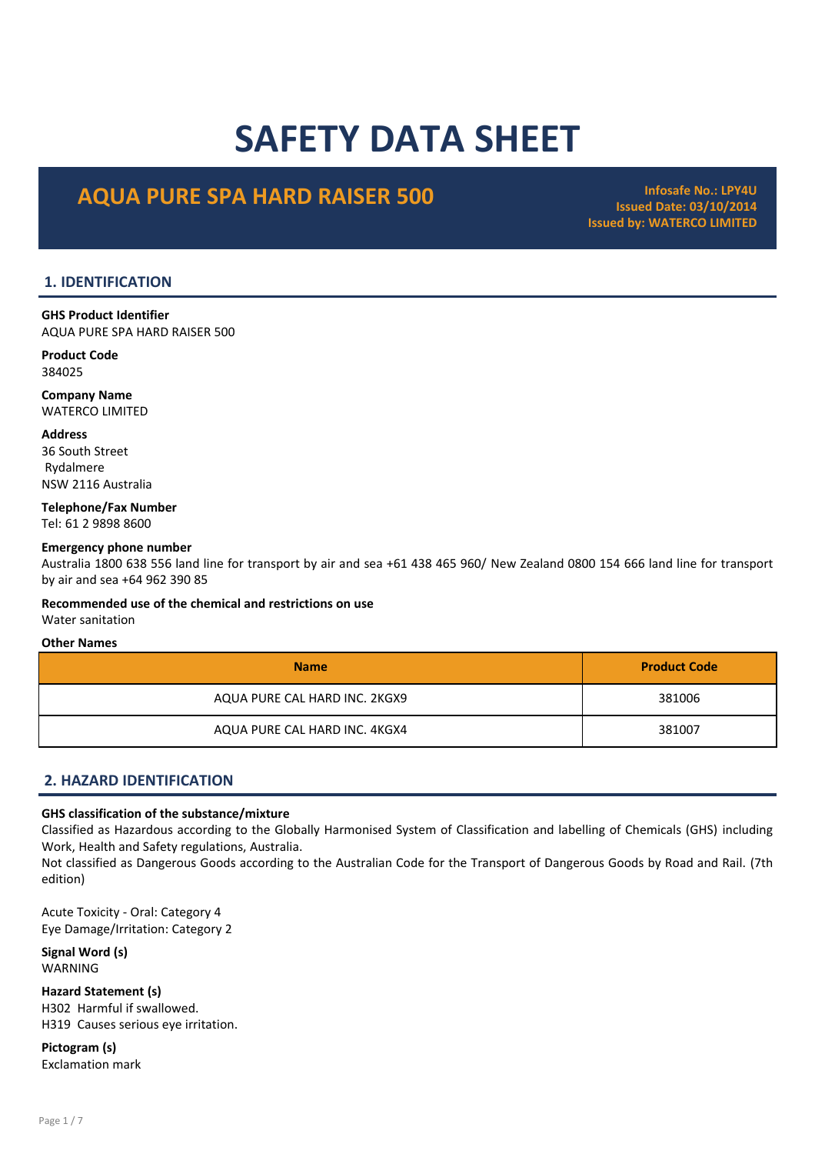# SAFETY DATA SHEET

# AQUA PURE SPA HARD RAISER 500 Infosafe No.: LPY4U

Issued Date: 03/10/2014 Issued by: WATERCO LIMITED

# 1. IDENTIFICATION

GHS Product Identifier AQUA PURE SPA HARD RAISER 500

Product Code 384025

Company Name WATERCO LIMITED

Address

36 South Street Rydalmere NSW 2116 Australia

Telephone/Fax Number Tel: 61 2 9898 8600

#### Emergency phone number

Australia 1800 638 556 land line for transport by air and sea +61 438 465 960/ New Zealand 0800 154 666 land line for transport by air and sea +64 962 390 85

# Recommended use of the chemical and restrictions on use

Water sanitation

#### Other Names

| <b>Name</b>                   | <b>Product Code</b> |
|-------------------------------|---------------------|
| AQUA PURE CAL HARD INC. 2KGX9 | 381006              |
| AQUA PURE CAL HARD INC. 4KGX4 | 381007              |

# 2. HAZARD IDENTIFICATION

#### GHS classification of the substance/mixture

Classified as Hazardous according to the Globally Harmonised System of Classification and labelling of Chemicals (GHS) including Work, Health and Safety regulations, Australia.

Not classified as Dangerous Goods according to the Australian Code for the Transport of Dangerous Goods by Road and Rail. (7th edition)

Acute Toxicity - Oral: Category 4 Eye Damage/Irritation: Category 2

Signal Word (s) WARNING

Hazard Statement (s) H302 Harmful if swallowed. H319 Causes serious eye irritation.

Pictogram (s) Exclamation mark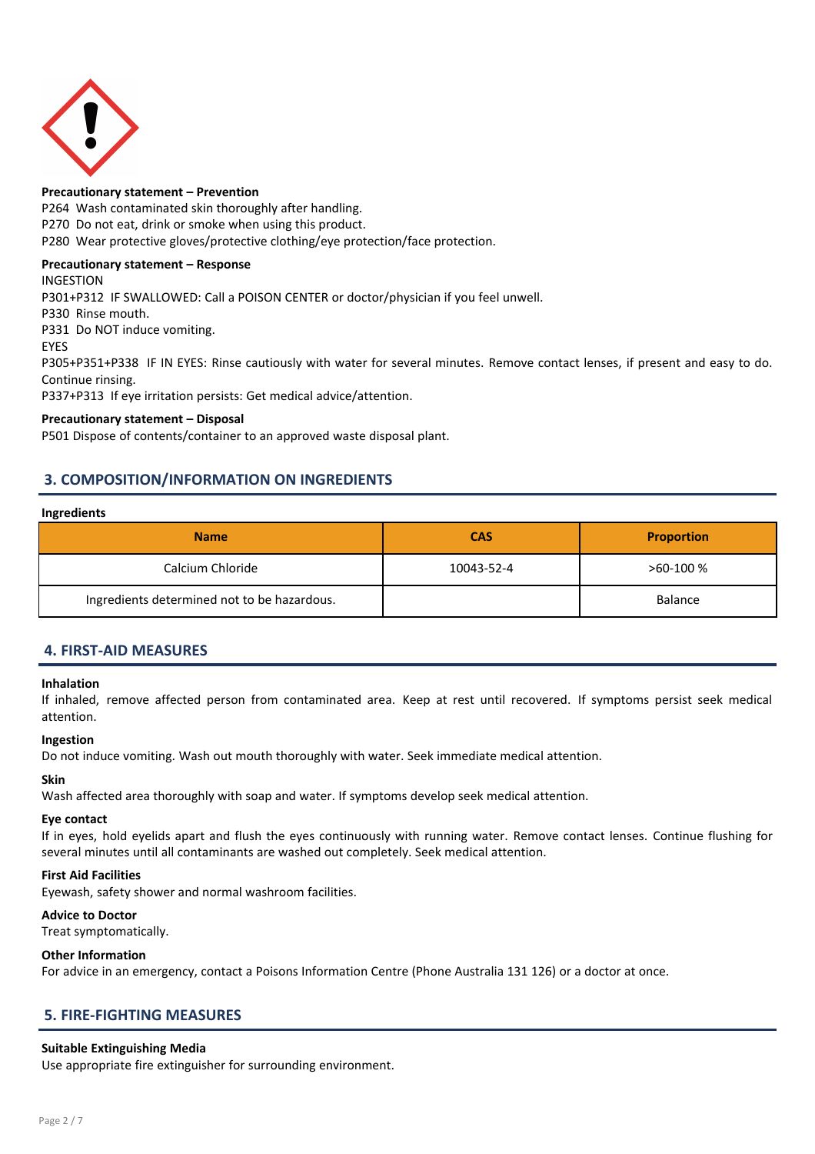

#### Precautionary statement – Prevention

P264 Wash contaminated skin thoroughly after handling.

P270 Do not eat, drink or smoke when using this product.

P280 Wear protective gloves/protective clothing/eye protection/face protection.

# Precautionary statement – Response

INGESTION

P301+P312 IF SWALLOWED: Call a POISON CENTER or doctor/physician if you feel unwell. P330 Rinse mouth. P331 Do NOT induce vomiting. EYES P305+P351+P338 IF IN EYES: Rinse cautiously with water for several minutes. Remove contact lenses, if present and easy to do.

Continue rinsing. P337+P313 If eye irritation persists: Get medical advice/attention.

#### Precautionary statement – Disposal

P501 Dispose of contents/container to an approved waste disposal plant.

# 3. COMPOSITION/INFORMATION ON INGREDIENTS

#### Ingredients

| <b>Name</b>                                 | <b>CAS</b> | <b>Proportion</b> |
|---------------------------------------------|------------|-------------------|
| Calcium Chloride                            | 10043-52-4 | $>60-100%$        |
| Ingredients determined not to be hazardous. |            | <b>Balance</b>    |

# 4. FIRST-AID MEASURES

#### Inhalation

If inhaled, remove affected person from contaminated area. Keep at rest until recovered. If symptoms persist seek medical attention.

#### Ingestion

Do not induce vomiting. Wash out mouth thoroughly with water. Seek immediate medical attention.

#### Skin

Wash affected area thoroughly with soap and water. If symptoms develop seek medical attention.

#### Eye contact

If in eyes, hold eyelids apart and flush the eyes continuously with running water. Remove contact lenses. Continue flushing for several minutes until all contaminants are washed out completely. Seek medical attention.

#### First Aid Facilities

Eyewash, safety shower and normal washroom facilities.

#### Advice to Doctor

Treat symptomatically.

#### Other Information

For advice in an emergency, contact a Poisons Information Centre (Phone Australia 131 126) or a doctor at once.

# 5. FIRE-FIGHTING MEASURES

#### Suitable Extinguishing Media

Use appropriate fire extinguisher for surrounding environment.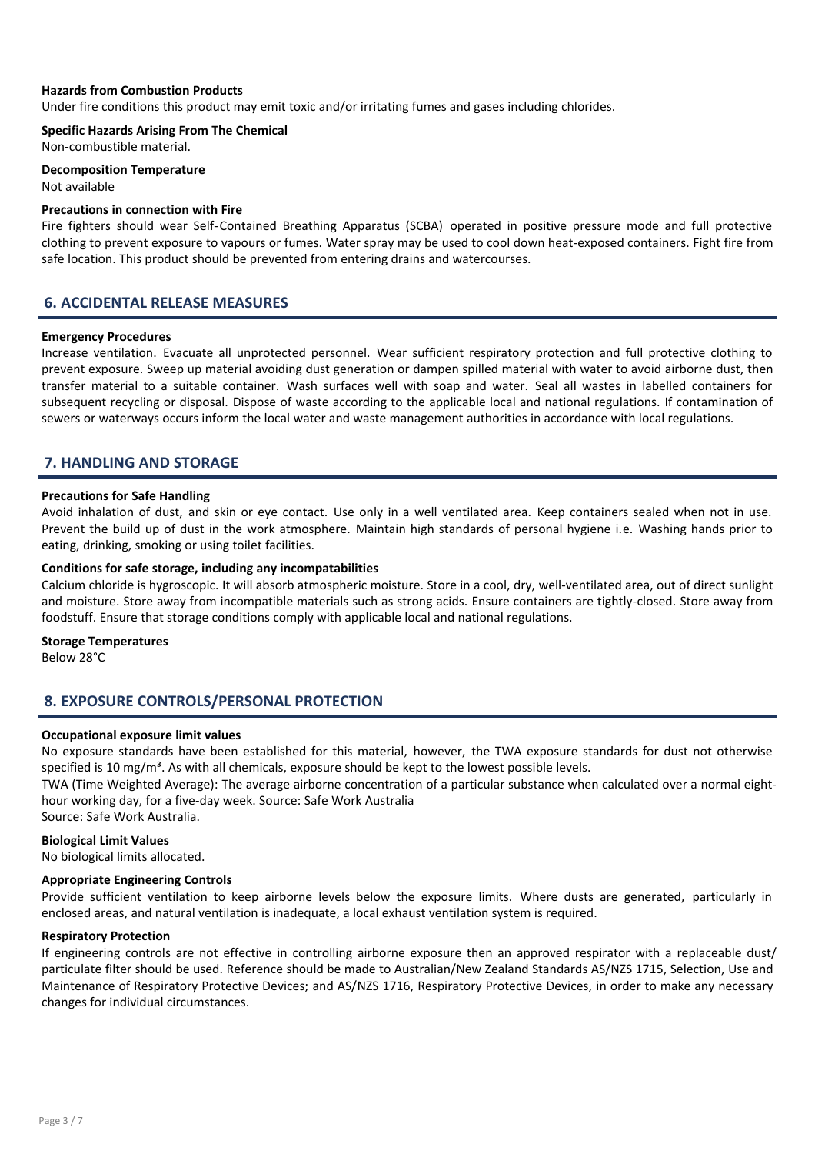#### Hazards from Combustion Products

Under fire conditions this product may emit toxic and/or irritating fumes and gases including chlorides.

Specific Hazards Arising From The Chemical

Non-combustible material.

Decomposition Temperature Not available

#### Precautions in connection with Fire

Fire fighters should wear Self-Contained Breathing Apparatus (SCBA) operated in positive pressure mode and full protective clothing to prevent exposure to vapours or fumes. Water spray may be used to cool down heat-exposed containers. Fight fire from safe location. This product should be prevented from entering drains and watercourses.

#### 6. ACCIDENTAL RELEASE MEASURES

#### Emergency Procedures

Increase ventilation. Evacuate all unprotected personnel. Wear sufficient respiratory protection and full protective clothing to prevent exposure. Sweep up material avoiding dust generation or dampen spilled material with water to avoid airborne dust, then transfer material to a suitable container. Wash surfaces well with soap and water. Seal all wastes in labelled containers for subsequent recycling or disposal. Dispose of waste according to the applicable local and national regulations. If contamination of sewers or waterways occurs inform the local water and waste management authorities in accordance with local regulations.

#### 7. HANDLING AND STORAGE

#### Precautions for Safe Handling

Avoid inhalation of dust, and skin or eye contact. Use only in a well ventilated area. Keep containers sealed when not in use. Prevent the build up of dust in the work atmosphere. Maintain high standards of personal hygiene i.e. Washing hands prior to eating, drinking, smoking or using toilet facilities.

#### Conditions for safe storage, including any incompatabilities

Calcium chloride is hygroscopic. It will absorb atmospheric moisture. Store in a cool, dry, well-ventilated area, out of direct sunlight and moisture. Store away from incompatible materials such as strong acids. Ensure containers are tightly-closed. Store away from foodstuff. Ensure that storage conditions comply with applicable local and national regulations.

#### Storage Temperatures

Below 28°C

# 8. EXPOSURE CONTROLS/PERSONAL PROTECTION

#### Occupational exposure limit values

No exposure standards have been established for this material, however, the TWA exposure standards for dust not otherwise specified is 10 mg/ $m<sup>3</sup>$ . As with all chemicals, exposure should be kept to the lowest possible levels.

TWA (Time Weighted Average): The average airborne concentration of a particular substance when calculated over a normal eighthour working day, for a five-day week. Source: Safe Work Australia Source: Safe Work Australia.

#### Biological Limit Values

No biological limits allocated.

#### Appropriate Engineering Controls

Provide sufficient ventilation to keep airborne levels below the exposure limits. Where dusts are generated, particularly in enclosed areas, and natural ventilation is inadequate, a local exhaust ventilation system is required.

#### Respiratory Protection

If engineering controls are not effective in controlling airborne exposure then an approved respirator with a replaceable dust/ particulate filter should be used. Reference should be made to Australian/New Zealand Standards AS/NZS 1715, Selection, Use and Maintenance of Respiratory Protective Devices; and AS/NZS 1716, Respiratory Protective Devices, in order to make any necessary changes for individual circumstances.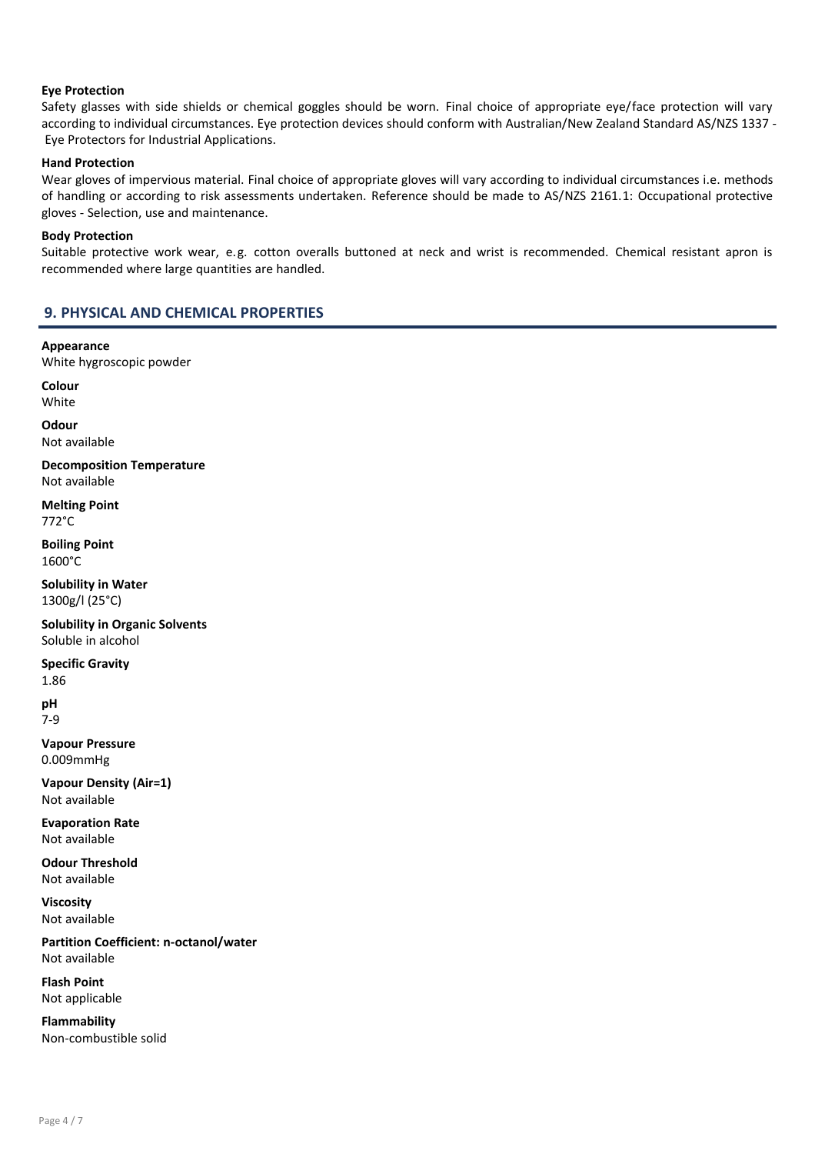#### Eye Protection

Safety glasses with side shields or chemical goggles should be worn. Final choice of appropriate eye/face protection will vary according to individual circumstances. Eye protection devices should conform with Australian/New Zealand Standard AS/NZS 1337 - Eye Protectors for Industrial Applications.

#### Hand Protection

Wear gloves of impervious material. Final choice of appropriate gloves will vary according to individual circumstances i.e. methods of handling or according to risk assessments undertaken. Reference should be made to AS/NZS 2161.1: Occupational protective gloves - Selection, use and maintenance.

#### Body Protection

Suitable protective work wear, e.g. cotton overalls buttoned at neck and wrist is recommended. Chemical resistant apron is recommended where large quantities are handled.

# 9. PHYSICAL AND CHEMICAL PROPERTIES

Appearance White hygroscopic powder

Colour White

**Odour** Not available

Decomposition Temperature Not available

Melting Point 772°C

Boiling Point 1600°C

Solubility in Water 1300g/l (25°C)

Solubility in Organic Solvents Soluble in alcohol

Specific Gravity

1.86

pH 7-9

Vapour Pressure 0.009mmHg

Vapour Density (Air=1) Not available

Evaporation Rate Not available

Odour Threshold Not available

Viscosity Not available

Partition Coefficient: n-octanol/water Not available

Flash Point Not applicable

Flammability Non-combustible solid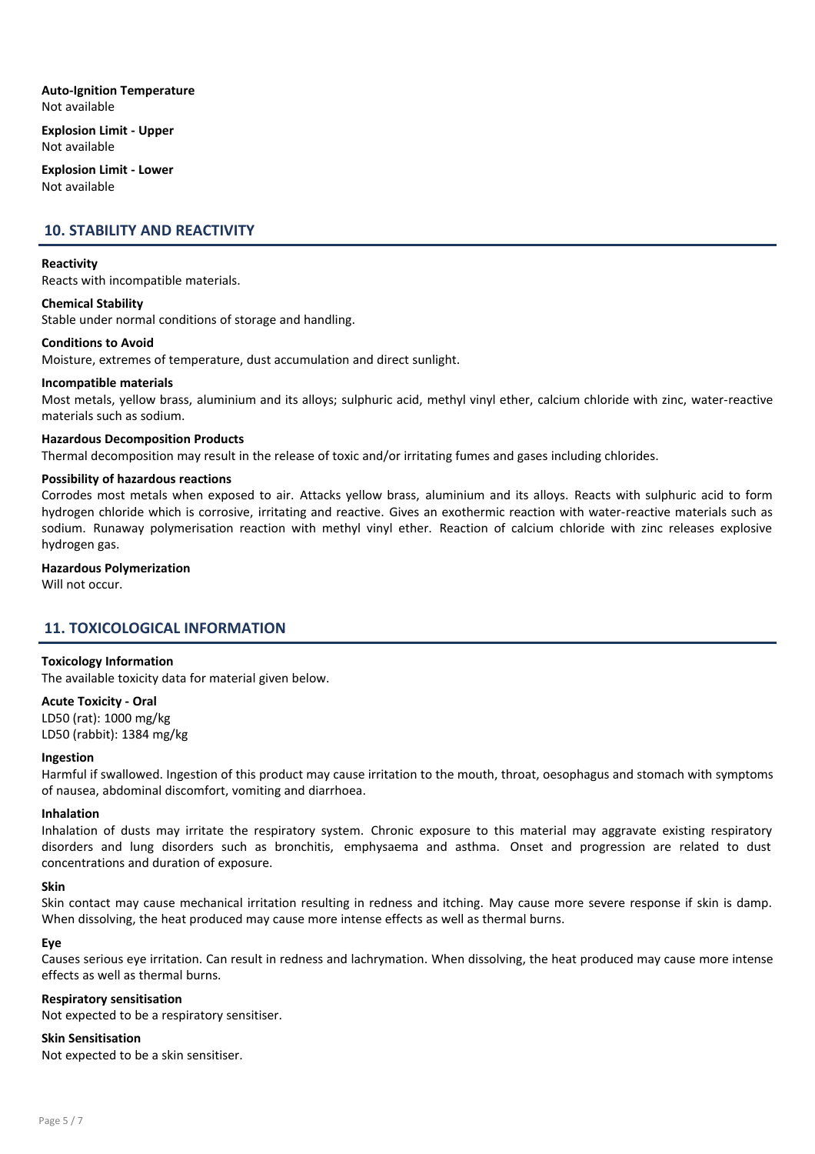Auto-Ignition Temperature Not available

Explosion Limit - Upper Not available

Explosion Limit - Lower Not available

# 10. STABILITY AND REACTIVITY

#### Reactivity

Reacts with incompatible materials.

#### Chemical Stability

Stable under normal conditions of storage and handling.

#### Conditions to Avoid

Moisture, extremes of temperature, dust accumulation and direct sunlight.

#### Incompatible materials

Most metals, yellow brass, aluminium and its alloys; sulphuric acid, methyl vinyl ether, calcium chloride with zinc, water-reactive materials such as sodium.

#### Hazardous Decomposition Products

Thermal decomposition may result in the release of toxic and/or irritating fumes and gases including chlorides.

#### Possibility of hazardous reactions

Corrodes most metals when exposed to air. Attacks yellow brass, aluminium and its alloys. Reacts with sulphuric acid to form hydrogen chloride which is corrosive, irritating and reactive. Gives an exothermic reaction with water-reactive materials such as sodium. Runaway polymerisation reaction with methyl vinyl ether. Reaction of calcium chloride with zinc releases explosive hydrogen gas.

#### Hazardous Polymerization

Will not occur.

# 11. TOXICOLOGICAL INFORMATION

#### Toxicology Information

The available toxicity data for material given below.

# Acute Toxicity - Oral LD50 (rat): 1000 mg/kg

LD50 (rabbit): 1384 mg/kg

#### Ingestion

Harmful if swallowed. Ingestion of this product may cause irritation to the mouth, throat, oesophagus and stomach with symptoms of nausea, abdominal discomfort, vomiting and diarrhoea.

#### Inhalation

Inhalation of dusts may irritate the respiratory system. Chronic exposure to this material may aggravate existing respiratory disorders and lung disorders such as bronchitis, emphysaema and asthma. Onset and progression are related to dust concentrations and duration of exposure.

#### Skin

Skin contact may cause mechanical irritation resulting in redness and itching. May cause more severe response if skin is damp. When dissolving, the heat produced may cause more intense effects as well as thermal burns.

#### Eye

Causes serious eye irritation. Can result in redness and lachrymation. When dissolving, the heat produced may cause more intense effects as well as thermal burns.

#### Respiratory sensitisation

Not expected to be a respiratory sensitiser.

#### Skin Sensitisation

Not expected to be a skin sensitiser.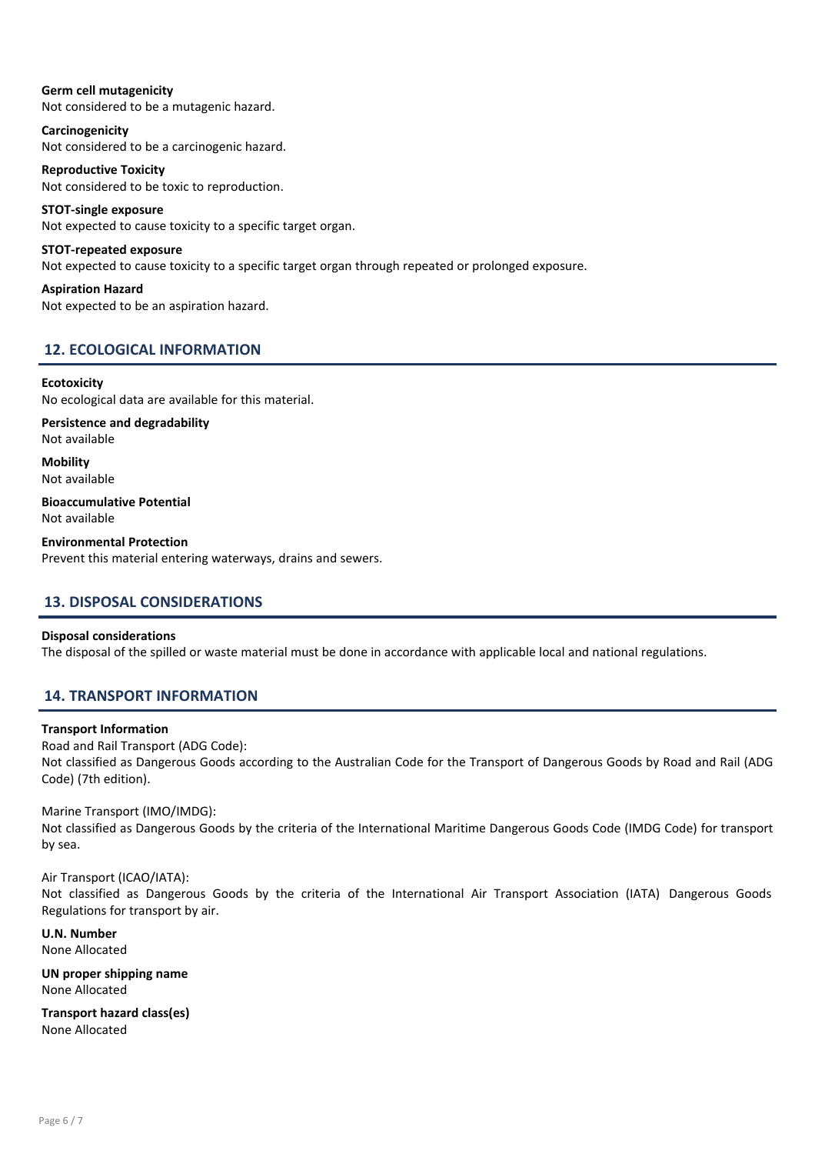Germ cell mutagenicity Not considered to be a mutagenic hazard.

Carcinogenicity Not considered to be a carcinogenic hazard.

Reproductive Toxicity Not considered to be toxic to reproduction.

STOT-single exposure Not expected to cause toxicity to a specific target organ.

STOT-repeated exposure Not expected to cause toxicity to a specific target organ through repeated or prolonged exposure.

Aspiration Hazard Not expected to be an aspiration hazard.

# 12. ECOLOGICAL INFORMATION

# **Ecotoxicity**

No ecological data are available for this material.

Persistence and degradability Not available

Mobility Not available

Bioaccumulative Potential Not available

Environmental Protection Prevent this material entering waterways, drains and sewers.

# 13. DISPOSAL CONSIDERATIONS

#### Disposal considerations

The disposal of the spilled or waste material must be done in accordance with applicable local and national regulations.

# 14. TRANSPORT INFORMATION

#### Transport Information

Road and Rail Transport (ADG Code): Not classified as Dangerous Goods according to the Australian Code for the Transport of Dangerous Goods by Road and Rail (ADG Code) (7th edition).

#### Marine Transport (IMO/IMDG):

Not classified as Dangerous Goods by the criteria of the International Maritime Dangerous Goods Code (IMDG Code) for transport by sea.

Air Transport (ICAO/IATA):

Not classified as Dangerous Goods by the criteria of the International Air Transport Association (IATA) Dangerous Goods Regulations for transport by air.

U.N. Number None Allocated

UN proper shipping name None Allocated

Transport hazard class(es) None Allocated